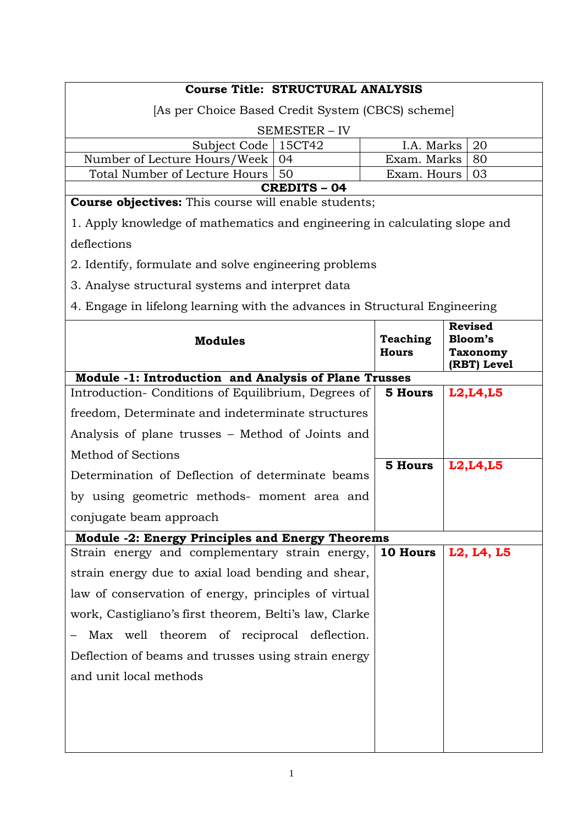| <b>Course Title: STRUCTURAL ANALYSIS</b>                                   |                                 |                                                             |  |  |
|----------------------------------------------------------------------------|---------------------------------|-------------------------------------------------------------|--|--|
| [As per Choice Based Credit System (CBCS) scheme]                          |                                 |                                                             |  |  |
| <b>SEMESTER - IV</b>                                                       |                                 |                                                             |  |  |
| Subject Code   15CT42                                                      | I.A. Marks                      | 20                                                          |  |  |
| Number of Lecture Hours/Week<br>04                                         | Exam. Marks                     | 80                                                          |  |  |
| Total Number of Lecture Hours  <br>50<br><b>CREDITS - 04</b>               | Exam. Hours                     | 03                                                          |  |  |
| <b>Course objectives:</b> This course will enable students;                |                                 |                                                             |  |  |
| 1. Apply knowledge of mathematics and engineering in calculating slope and |                                 |                                                             |  |  |
| deflections                                                                |                                 |                                                             |  |  |
| 2. Identify, formulate and solve engineering problems                      |                                 |                                                             |  |  |
| 3. Analyse structural systems and interpret data                           |                                 |                                                             |  |  |
| 4. Engage in lifelong learning with the advances in Structural Engineering |                                 |                                                             |  |  |
| <b>Modules</b>                                                             | <b>Teaching</b><br><b>Hours</b> | <b>Revised</b><br>Bloom's<br><b>Taxonomy</b><br>(RBT) Level |  |  |
| Module -1: Introduction and Analysis of Plane Trusses                      |                                 |                                                             |  |  |
| Introduction-Conditions of Equilibrium, Degrees of                         | 5 Hours                         | L2, L4, L5                                                  |  |  |
| freedom, Determinate and indeterminate structures                          |                                 |                                                             |  |  |
| Analysis of plane trusses - Method of Joints and                           |                                 |                                                             |  |  |
| <b>Method of Sections</b>                                                  | <b>5 Hours</b>                  |                                                             |  |  |
| Determination of Deflection of determinate beams                           |                                 | L2, L4, L5                                                  |  |  |
| by using geometric methods- moment area and                                |                                 |                                                             |  |  |
| conjugate beam approach                                                    |                                 |                                                             |  |  |
| <b>Module -2: Energy Principles and Energy Theorems</b>                    |                                 |                                                             |  |  |
| Strain energy and complementary strain energy,                             | 10 Hours                        | L2, L4, L5                                                  |  |  |
| strain energy due to axial load bending and shear,                         |                                 |                                                             |  |  |
| law of conservation of energy, principles of virtual                       |                                 |                                                             |  |  |
| work, Castigliano's first theorem, Belti's law, Clarke                     |                                 |                                                             |  |  |
| Max well theorem of reciprocal deflection.                                 |                                 |                                                             |  |  |
| Deflection of beams and trusses using strain energy                        |                                 |                                                             |  |  |
| and unit local methods                                                     |                                 |                                                             |  |  |
|                                                                            |                                 |                                                             |  |  |
|                                                                            |                                 |                                                             |  |  |
|                                                                            |                                 |                                                             |  |  |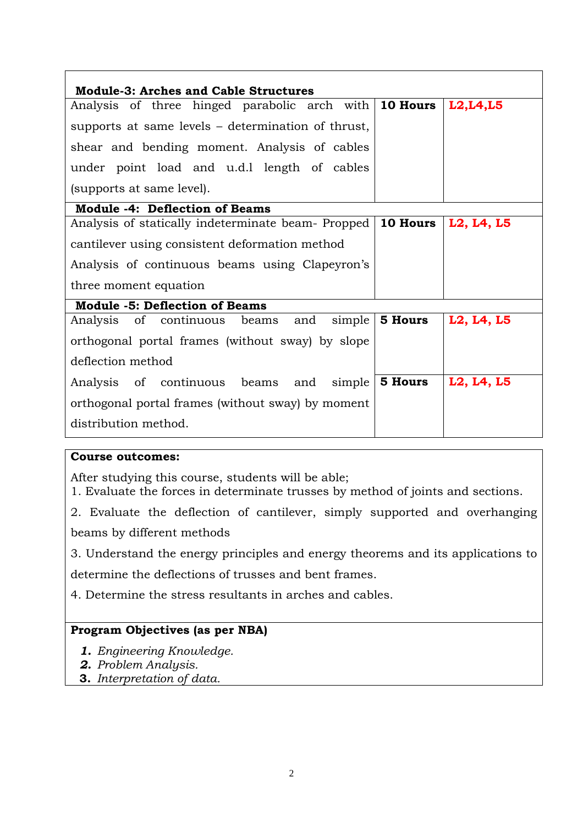| <b>Module-3: Arches and Cable Structures</b>       |                       |            |
|----------------------------------------------------|-----------------------|------------|
| Analysis of three hinged parabolic arch with       | 10 Hours              | L2, L4, L5 |
| supports at same levels – determination of thrust, |                       |            |
| shear and bending moment. Analysis of cables       |                       |            |
| under point load and u.d.l length of cables        |                       |            |
| (supports at same level).                          |                       |            |
| <b>Module -4: Deflection of Beams</b>              |                       |            |
| Analysis of statically indeterminate beam- Propped | <b>10 Hours</b>       | L2, L4, L5 |
| cantilever using consistent deformation method     |                       |            |
| Analysis of continuous beams using Clapeyron's     |                       |            |
| three moment equation                              |                       |            |
| <b>Module -5: Deflection of Beams</b>              |                       |            |
| Analysis of continuous beams and<br>simple         | <b>5 Hours</b>        | L2, L4, L5 |
| orthogonal portal frames (without sway) by slope   |                       |            |
| deflection method                                  |                       |            |
| Analysis of continuous beams and                   | $simple \mid 5$ Hours | L2, L4, L5 |
| orthogonal portal frames (without sway) by moment  |                       |            |
| distribution method.                               |                       |            |

# **Course outcomes:**

After studying this course, students will be able;

1. Evaluate the forces in determinate trusses by method of joints and sections.

2. Evaluate the deflection of cantilever, simply supported and overhanging

beams by different methods

3. Understand the energy principles and energy theorems and its applications to

determine the deflections of trusses and bent frames.

4. Determine the stress resultants in arches and cables.

# **Program Objectives (as per NBA)**

- *1. Engineering Knowledge.*
- *2. Problem Analysis.*
- **3.** *Interpretation of data.*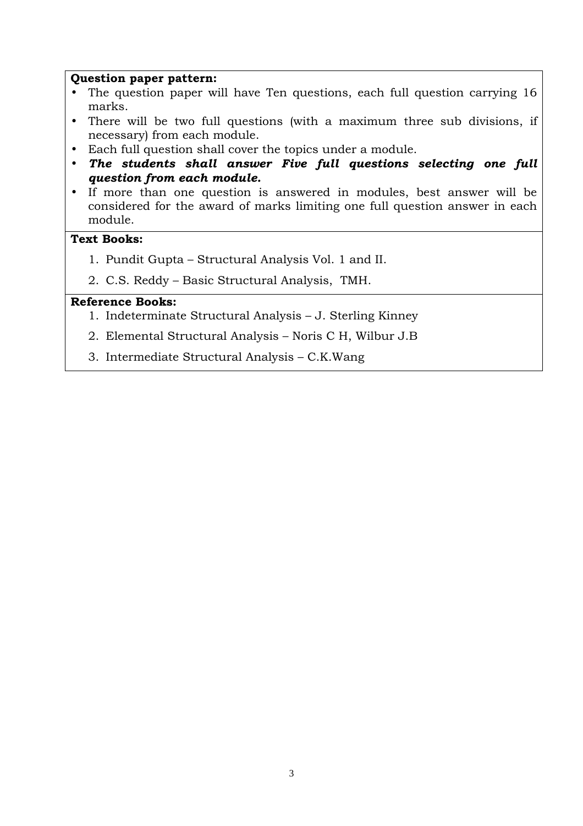#### **Question paper pattern:**

- The question paper will have Ten questions, each full question carrying 16 marks.
- There will be two full questions (with a maximum three sub divisions, if necessary) from each module.
- Each full question shall cover the topics under a module.
- *The students shall answer Five full questions selecting one full question from each module.*
- If more than one question is answered in modules, best answer will be considered for the award of marks limiting one full question answer in each module.

### **Text Books:**

- 1. Pundit Gupta Structural Analysis Vol. 1 and II.
- 2. C.S. Reddy Basic Structural Analysis, TMH.

- 1. Indeterminate Structural Analysis J. Sterling Kinney
- 2. Elemental Structural Analysis Noris C H, Wilbur J.B
- 3. Intermediate Structural Analysis C.K.Wang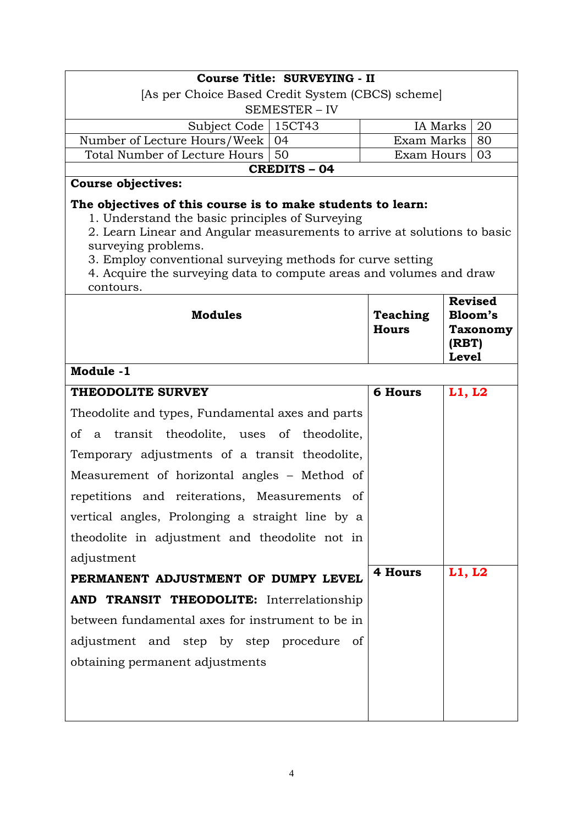|                                                                                                                                                                                                                                                                                                                                                                     | Course Title: SURVEYING - II                      |                          |                       |                            |  |
|---------------------------------------------------------------------------------------------------------------------------------------------------------------------------------------------------------------------------------------------------------------------------------------------------------------------------------------------------------------------|---------------------------------------------------|--------------------------|-----------------------|----------------------------|--|
|                                                                                                                                                                                                                                                                                                                                                                     | [As per Choice Based Credit System (CBCS) scheme] |                          |                       |                            |  |
|                                                                                                                                                                                                                                                                                                                                                                     | SEMESTER - IV                                     |                          |                       |                            |  |
| Subject Code<br>Number of Lecture Hours/Week                                                                                                                                                                                                                                                                                                                        | 15CT43<br>04                                      | IA Marks<br>Exam Marks   |                       | 20                         |  |
| Total Number of Lecture Hours                                                                                                                                                                                                                                                                                                                                       | 50                                                | Exam Hours               |                       | 80<br>03                   |  |
|                                                                                                                                                                                                                                                                                                                                                                     | <b>CREDITS - 04</b>                               |                          |                       |                            |  |
| <b>Course objectives:</b>                                                                                                                                                                                                                                                                                                                                           |                                                   |                          |                       |                            |  |
| The objectives of this course is to make students to learn:<br>1. Understand the basic principles of Surveying<br>2. Learn Linear and Angular measurements to arrive at solutions to basic<br>surveying problems.<br>3. Employ conventional surveying methods for curve setting<br>4. Acquire the surveying data to compute areas and volumes and draw<br>contours. |                                                   |                          |                       | <b>Revised</b>             |  |
| <b>Modules</b>                                                                                                                                                                                                                                                                                                                                                      |                                                   | Teaching<br><b>Hours</b> | (RBT)<br><b>Level</b> | Bloom's<br><b>Taxonomy</b> |  |
| Module -1                                                                                                                                                                                                                                                                                                                                                           |                                                   |                          |                       |                            |  |
| THEODOLITE SURVEY                                                                                                                                                                                                                                                                                                                                                   |                                                   | <b>6 Hours</b>           | L1, L2                |                            |  |
| Theodolite and types, Fundamental axes and parts                                                                                                                                                                                                                                                                                                                    |                                                   |                          |                       |                            |  |
| οf<br>transit theodolite, uses of theodolite,<br>a -                                                                                                                                                                                                                                                                                                                |                                                   |                          |                       |                            |  |
| Temporary adjustments of a transit theodolite,                                                                                                                                                                                                                                                                                                                      |                                                   |                          |                       |                            |  |
| Measurement of horizontal angles – Method of                                                                                                                                                                                                                                                                                                                        |                                                   |                          |                       |                            |  |
| repetitions and reiterations, Measurements of                                                                                                                                                                                                                                                                                                                       |                                                   |                          |                       |                            |  |
| vertical angles, Prolonging a straight line by a                                                                                                                                                                                                                                                                                                                    |                                                   |                          |                       |                            |  |
| theodolite in adjustment and theodolite not in                                                                                                                                                                                                                                                                                                                      |                                                   |                          |                       |                            |  |
| adjustment                                                                                                                                                                                                                                                                                                                                                          |                                                   |                          |                       |                            |  |
| PERMANENT ADJUSTMENT OF DUMPY LEVEL                                                                                                                                                                                                                                                                                                                                 |                                                   | 4 Hours                  | L1, L2                |                            |  |
| AND TRANSIT THEODOLITE: Interrelationship                                                                                                                                                                                                                                                                                                                           |                                                   |                          |                       |                            |  |
| between fundamental axes for instrument to be in                                                                                                                                                                                                                                                                                                                    |                                                   |                          |                       |                            |  |
| adjustment and step by step procedure of                                                                                                                                                                                                                                                                                                                            |                                                   |                          |                       |                            |  |
| obtaining permanent adjustments                                                                                                                                                                                                                                                                                                                                     |                                                   |                          |                       |                            |  |
|                                                                                                                                                                                                                                                                                                                                                                     |                                                   |                          |                       |                            |  |
|                                                                                                                                                                                                                                                                                                                                                                     |                                                   |                          |                       |                            |  |
|                                                                                                                                                                                                                                                                                                                                                                     |                                                   |                          |                       |                            |  |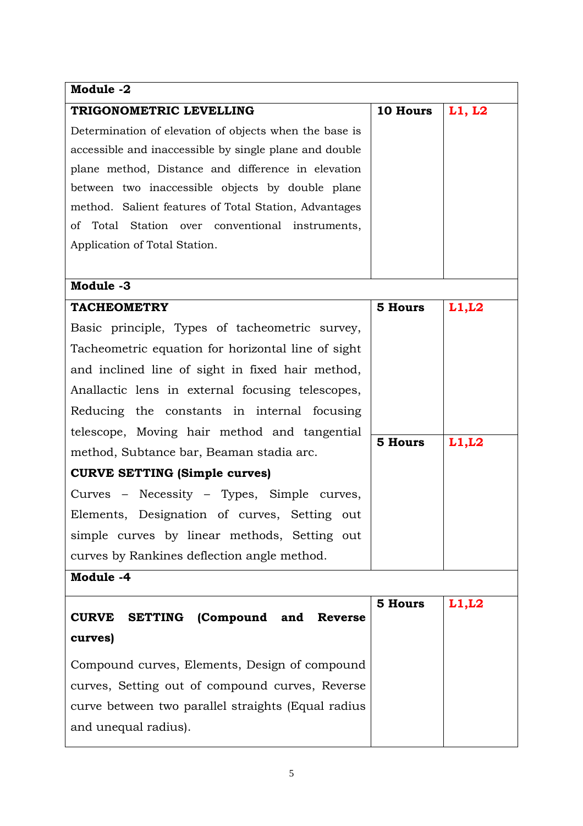| Module -2                                               |                |        |
|---------------------------------------------------------|----------------|--------|
| TRIGONOMETRIC LEVELLING                                 | 10 Hours       | L1, L2 |
| Determination of elevation of objects when the base is  |                |        |
| accessible and inaccessible by single plane and double  |                |        |
| plane method, Distance and difference in elevation      |                |        |
| between two inaccessible objects by double plane        |                |        |
| method. Salient features of Total Station, Advantages   |                |        |
| of Total Station over conventional instruments,         |                |        |
| Application of Total Station.                           |                |        |
|                                                         |                |        |
| Module -3                                               |                |        |
| <b>TACHEOMETRY</b>                                      | <b>5 Hours</b> | L1, L2 |
| Basic principle, Types of tacheometric survey,          |                |        |
| Tacheometric equation for horizontal line of sight      |                |        |
| and inclined line of sight in fixed hair method,        |                |        |
| Anallactic lens in external focusing telescopes,        |                |        |
| Reducing the constants in internal focusing             |                |        |
| telescope, Moving hair method and tangential            |                |        |
| method, Subtance bar, Beaman stadia arc.                | <b>5 Hours</b> | L1, L2 |
| <b>CURVE SETTING (Simple curves)</b>                    |                |        |
| Curves – Necessity – Types, Simple curves,              |                |        |
| Elements, Designation of curves, Setting out            |                |        |
| simple curves by linear methods, Setting out            |                |        |
| curves by Rankines deflection angle method.             |                |        |
| Module -4                                               |                |        |
|                                                         | <b>5 Hours</b> | L1, L2 |
| <b>SETTING</b> (Compound and<br><b>CURVE</b><br>Reverse |                |        |
| curves)                                                 |                |        |
| Compound curves, Elements, Design of compound           |                |        |
| curves, Setting out of compound curves, Reverse         |                |        |
| curve between two parallel straights (Equal radius      |                |        |
| and unequal radius).                                    |                |        |
|                                                         |                |        |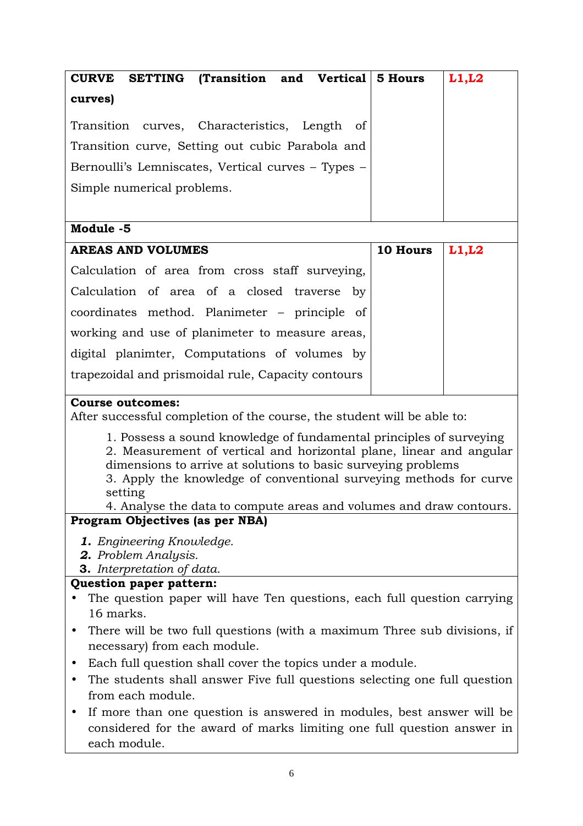| CURVE SETTING (Transition and Vertical 5 Hours                                                                                             |  |          | L1, L2 |
|--------------------------------------------------------------------------------------------------------------------------------------------|--|----------|--------|
| curves)                                                                                                                                    |  |          |        |
| Transition curves, Characteristics, Length of                                                                                              |  |          |        |
| Transition curve, Setting out cubic Parabola and                                                                                           |  |          |        |
| Bernoulli's Lemniscates, Vertical curves - Types -                                                                                         |  |          |        |
| Simple numerical problems.                                                                                                                 |  |          |        |
|                                                                                                                                            |  |          |        |
| Module -5                                                                                                                                  |  |          |        |
| <b>AREAS AND VOLUMES</b>                                                                                                                   |  | 10 Hours | L1, L2 |
| Calculation of area from cross staff surveying,                                                                                            |  |          |        |
| Calculation of area of a closed traverse by                                                                                                |  |          |        |
| coordinates method. Planimeter – principle of                                                                                              |  |          |        |
| working and use of planimeter to measure areas,                                                                                            |  |          |        |
|                                                                                                                                            |  |          |        |
| digital planimter, Computations of volumes by                                                                                              |  |          |        |
| trapezoidal and prismoidal rule, Capacity contours                                                                                         |  |          |        |
| <b>Course outcomes:</b>                                                                                                                    |  |          |        |
| After successful completion of the course, the student will be able to:                                                                    |  |          |        |
| 1. Possess a sound knowledge of fundamental principles of surveying<br>2. Measurement of vertical and horizontal plane, linear and angular |  |          |        |
| dimensions to arrive at solutions to basic surveying problems                                                                              |  |          |        |
| 3. Apply the knowledge of conventional surveying methods for curve                                                                         |  |          |        |
| setting<br>4. Analyse the data to compute areas and volumes and draw contours.                                                             |  |          |        |
| Program Objectives (as per NBA)                                                                                                            |  |          |        |
| <b>1.</b> Engineering Knowledge.                                                                                                           |  |          |        |
| 2. Problem Analysis.                                                                                                                       |  |          |        |
| <b>3.</b> Interpretation of data.                                                                                                          |  |          |        |
| Question paper pattern:<br>The question paper will have Ten questions, each full question carrying                                         |  |          |        |
| 16 marks.                                                                                                                                  |  |          |        |
| There will be two full questions (with a maximum Three sub divisions, if                                                                   |  |          |        |
| necessary) from each module.                                                                                                               |  |          |        |
| Each full question shall cover the topics under a module.                                                                                  |  |          |        |
| The students shall answer Five full questions selecting one full question                                                                  |  |          |        |
| from each module.                                                                                                                          |  |          |        |
| If more than one question is answered in modules, best answer will be<br>$\bullet$                                                         |  |          |        |
| considered for the award of marks limiting one full question answer in                                                                     |  |          |        |

each module.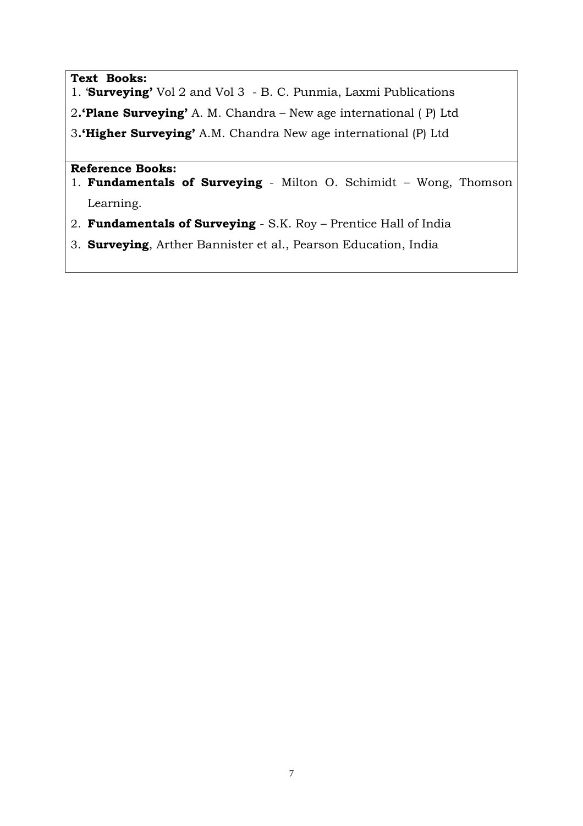### **Text Books:**

- 1. '**Surveying'** Vol 2 and Vol 3 B. C. Punmia, Laxmi Publications
- 2**.'Plane Surveying'** A. M. Chandra New age international ( P) Ltd

3**.'Higher Surveying'** A.M. Chandra New age international (P) Ltd

- 1. **Fundamentals of Surveying**  Milton O. Schimidt Wong, Thomson Learning.
- 2. **Fundamentals of Surveying**  S.K. Roy Prentice Hall of India
- 3. **Surveying**, Arther Bannister et al., Pearson Education, India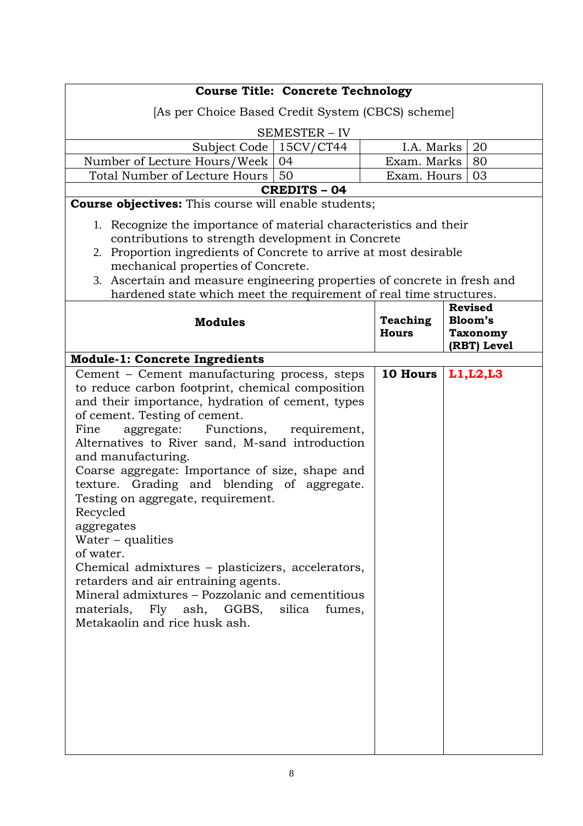| <b>Course Title: Concrete Technology</b>                                 |                 |                                |  |  |
|--------------------------------------------------------------------------|-----------------|--------------------------------|--|--|
| [As per Choice Based Credit System (CBCS) scheme]                        |                 |                                |  |  |
|                                                                          |                 |                                |  |  |
| <b>SEMESTER - IV</b><br>Subject Code   15CV/CT44                         | I.A. Marks      | 20                             |  |  |
| Number of Lecture Hours/Week<br>04                                       | Exam. Marks     | 80                             |  |  |
| Total Number of Lecture Hours<br>50                                      | Exam. Hours     | 03                             |  |  |
| <b>CREDITS - 04</b>                                                      |                 |                                |  |  |
| <b>Course objectives:</b> This course will enable students;              |                 |                                |  |  |
| 1. Recognize the importance of material characteristics and their        |                 |                                |  |  |
| contributions to strength development in Concrete                        |                 |                                |  |  |
| 2. Proportion ingredients of Concrete to arrive at most desirable        |                 |                                |  |  |
| mechanical properties of Concrete.                                       |                 |                                |  |  |
| 3. Ascertain and measure engineering properties of concrete in fresh and |                 |                                |  |  |
| hardened state which meet the requirement of real time structures.       |                 |                                |  |  |
|                                                                          |                 | <b>Revised</b>                 |  |  |
| <b>Modules</b>                                                           | <b>Teaching</b> | Bloom's                        |  |  |
|                                                                          | <b>Hours</b>    | <b>Taxonomy</b><br>(RBT) Level |  |  |
| <b>Module-1: Concrete Ingredients</b>                                    |                 |                                |  |  |
| Cement - Cement manufacturing process, steps                             | 10 Hours        | L1, L2, L3                     |  |  |
| to reduce carbon footprint, chemical composition                         |                 |                                |  |  |
| and their importance, hydration of cement, types                         |                 |                                |  |  |
| of cement. Testing of cement.                                            |                 |                                |  |  |
| aggregate: Functions, requirement,<br>Fine                               |                 |                                |  |  |
| Alternatives to River sand, M-sand introduction                          |                 |                                |  |  |
| and manufacturing.                                                       |                 |                                |  |  |
| Coarse aggregate: Importance of size, shape and                          |                 |                                |  |  |
| texture. Grading and blending of aggregate.                              |                 |                                |  |  |
| Testing on aggregate, requirement.<br>Recycled                           |                 |                                |  |  |
| aggregates                                                               |                 |                                |  |  |
| Water $-$ qualities                                                      |                 |                                |  |  |
| of water.                                                                |                 |                                |  |  |
| Chemical admixtures – plasticizers, accelerators,                        |                 |                                |  |  |
| retarders and air entraining agents.                                     |                 |                                |  |  |
| Mineral admixtures - Pozzolanic and cementitious                         |                 |                                |  |  |
| materials, Fly ash, GGBS, silica<br>fumes,                               |                 |                                |  |  |
| Metakaolin and rice husk ash.                                            |                 |                                |  |  |
|                                                                          |                 |                                |  |  |
|                                                                          |                 |                                |  |  |
|                                                                          |                 |                                |  |  |
|                                                                          |                 |                                |  |  |
|                                                                          |                 |                                |  |  |
|                                                                          |                 |                                |  |  |
|                                                                          |                 |                                |  |  |
|                                                                          |                 |                                |  |  |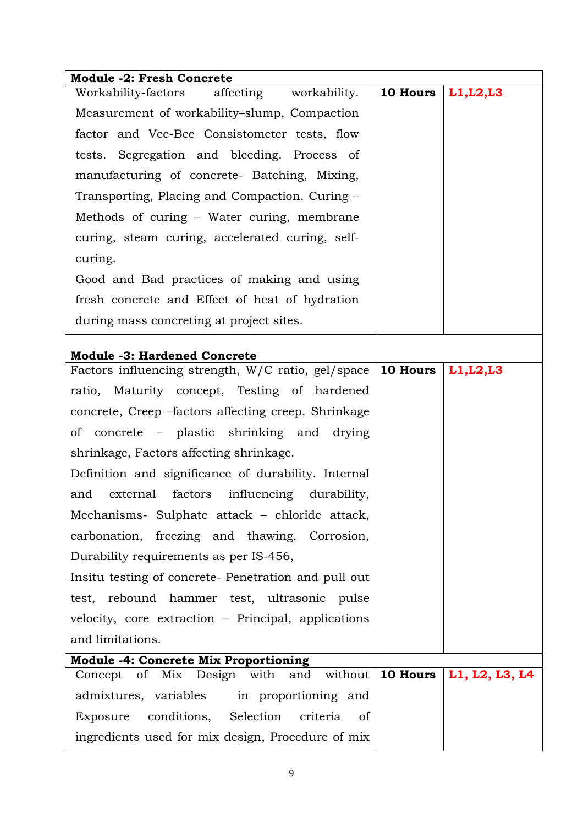| <b>Module -2: Fresh Concrete</b>                                |                    |                |
|-----------------------------------------------------------------|--------------------|----------------|
| Workability-factors affecting workability.                      | 10 Hours           | L1, L2, L3     |
| Measurement of workability-slump, Compaction                    |                    |                |
| factor and Vee-Bee Consistometer tests, flow                    |                    |                |
| tests. Segregation and bleeding. Process of                     |                    |                |
| manufacturing of concrete- Batching, Mixing,                    |                    |                |
| Transporting, Placing and Compaction. Curing -                  |                    |                |
| Methods of curing – Water curing, membrane                      |                    |                |
| curing, steam curing, accelerated curing, self-                 |                    |                |
| curing.                                                         |                    |                |
| Good and Bad practices of making and using                      |                    |                |
| fresh concrete and Effect of heat of hydration                  |                    |                |
| during mass concreting at project sites.                        |                    |                |
| <b>Module -3: Hardened Concrete</b>                             |                    |                |
| Factors influencing strength, $W/C$ ratio, gel/space   10 Hours |                    | L1, L2, L3     |
| ratio, Maturity concept, Testing of hardened                    |                    |                |
| concrete, Creep -factors affecting creep. Shrinkage             |                    |                |
| of concrete – plastic shrinking and drying                      |                    |                |
| shrinkage, Factors affecting shrinkage.                         |                    |                |
| Definition and significance of durability. Internal             |                    |                |
| factors influencing durability,<br>external<br>and              |                    |                |
| Mechanisms- Sulphate attack - chloride attack,                  |                    |                |
| carbonation, freezing and thawing. Corrosion,                   |                    |                |
| Durability requirements as per IS-456,                          |                    |                |
| Insitu testing of concrete- Penetration and pull out            |                    |                |
| test, rebound hammer test, ultrasonic pulse                     |                    |                |
| velocity, core extraction - Principal, applications             |                    |                |
| and limitations.                                                |                    |                |
| <b>Module -4: Concrete Mix Proportioning</b>                    |                    |                |
| Concept of Mix Design with<br>and                               | without   10 Hours | L1, L2, L3, L4 |
| admixtures, variables<br>in proportioning and                   |                    |                |
| conditions, Selection<br>criteria<br>Exposure<br><sub>of</sub>  |                    |                |
| ingredients used for mix design, Procedure of mix               |                    |                |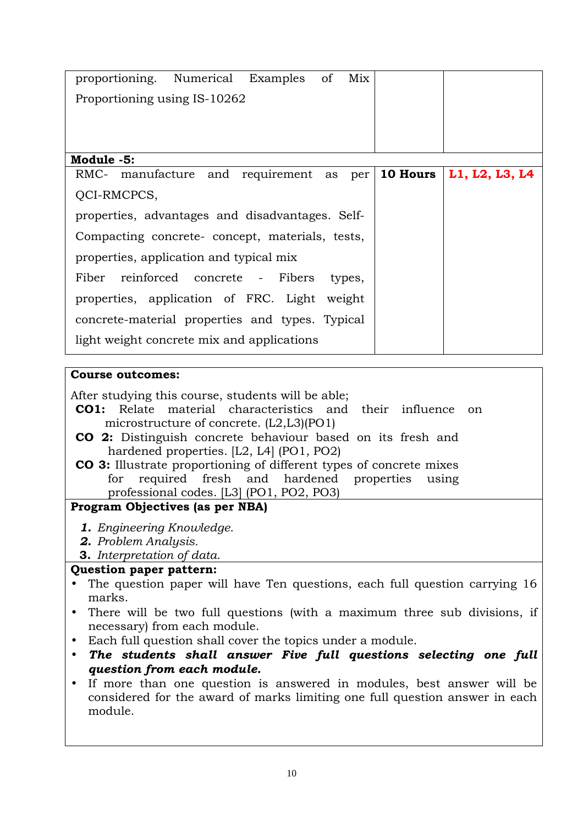| proportioning. Numerical Examples of            |                              | Mix    |                 |                |
|-------------------------------------------------|------------------------------|--------|-----------------|----------------|
| Proportioning using IS-10262                    |                              |        |                 |                |
|                                                 |                              |        |                 |                |
|                                                 |                              |        |                 |                |
| Module -5:                                      |                              |        |                 |                |
| RMC- manufacture and requirement as per         |                              |        | <b>10 Hours</b> | L1, L2, L3, L4 |
| QCI-RMCPCS,                                     |                              |        |                 |                |
| properties, advantages and disadvantages. Self- |                              |        |                 |                |
| Compacting concrete- concept, materials, tests, |                              |        |                 |                |
| properties, application and typical mix         |                              |        |                 |                |
| Fiber                                           | reinforced concrete - Fibers | types, |                 |                |
| properties, application of FRC. Light weight    |                              |        |                 |                |
| concrete-material properties and types. Typical |                              |        |                 |                |
| light weight concrete mix and applications      |                              |        |                 |                |

### **Course outcomes:**

After studying this course, students will be able;

- **CO1:** Relate material characteristics and their influence on microstructure of concrete. (L2,L3)(PO1)
- **CO 2:** Distinguish concrete behaviour based on its fresh and hardened properties. [L2, L4] (PO1, PO2)
- **CO 3:** Illustrate proportioning of different types of concrete mixes for required fresh and hardened properties using professional codes. [L3] (PO1, PO2, PO3)

# **Program Objectives (as per NBA)**

- *1. Engineering Knowledge.*
- *2. Problem Analysis.*
- **3.** *Interpretation of data.*

### **Question paper pattern:**

- The question paper will have Ten questions, each full question carrying 16 marks.
- There will be two full questions (with a maximum three sub divisions, if necessary) from each module.
- Each full question shall cover the topics under a module.
- *The students shall answer Five full questions selecting one full question from each module.*
- If more than one question is answered in modules, best answer will be considered for the award of marks limiting one full question answer in each module.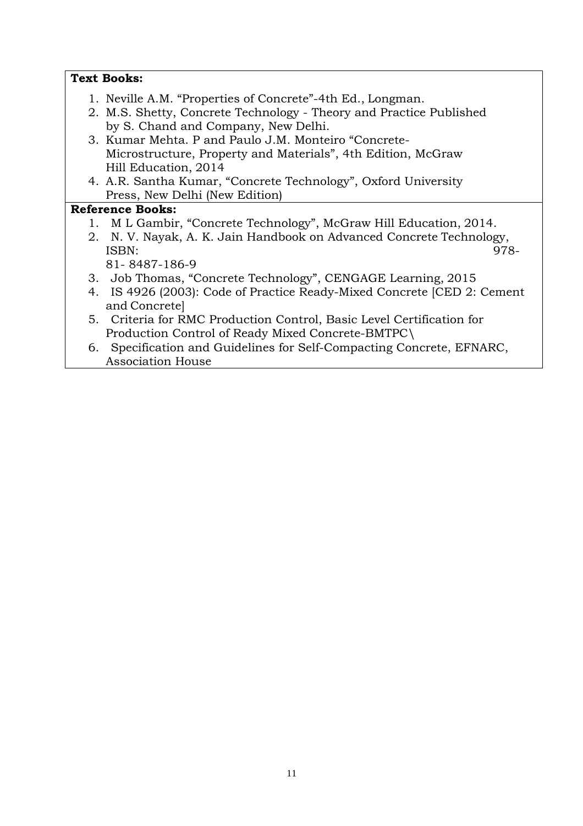| <b>Text Books:</b>                                                                                                                                        |
|-----------------------------------------------------------------------------------------------------------------------------------------------------------|
| 1. Neville A.M. "Properties of Concrete"-4th Ed., Longman.<br>2. M.S. Shetty, Concrete Technology - Theory and Practice Published                         |
| by S. Chand and Company, New Delhi.                                                                                                                       |
| 3. Kumar Mehta, P and Paulo J.M. Monteiro "Concrete-                                                                                                      |
| Microstructure, Property and Materials", 4th Edition, McGraw<br>Hill Education, 2014                                                                      |
| 4. A.R. Santha Kumar, "Concrete Technology", Oxford University                                                                                            |
| Press, New Delhi (New Edition)                                                                                                                            |
| <b>Reference Books:</b>                                                                                                                                   |
| 1. M L Gambir, "Concrete Technology", McGraw Hill Education, 2014.<br>2. N.V. Nayak, A.K. Jain Handbook on Advanced Concrete Technology,<br>ISBN:<br>978- |
| 81-8487-186-9                                                                                                                                             |
| 3. Job Thomas, "Concrete Technology", CENGAGE Learning, 2015                                                                                              |
| 4. IS 4926 (2003): Code of Practice Ready-Mixed Concrete [CED 2: Cement<br>and Concrete                                                                   |
| 5. Criteria for RMC Production Control, Basic Level Certification for                                                                                     |
| Production Control of Ready Mixed Concrete-BMTPC\                                                                                                         |
| 6. Specification and Guidelines for Self-Compacting Concrete, EFNARC,<br><b>Association House</b>                                                         |
|                                                                                                                                                           |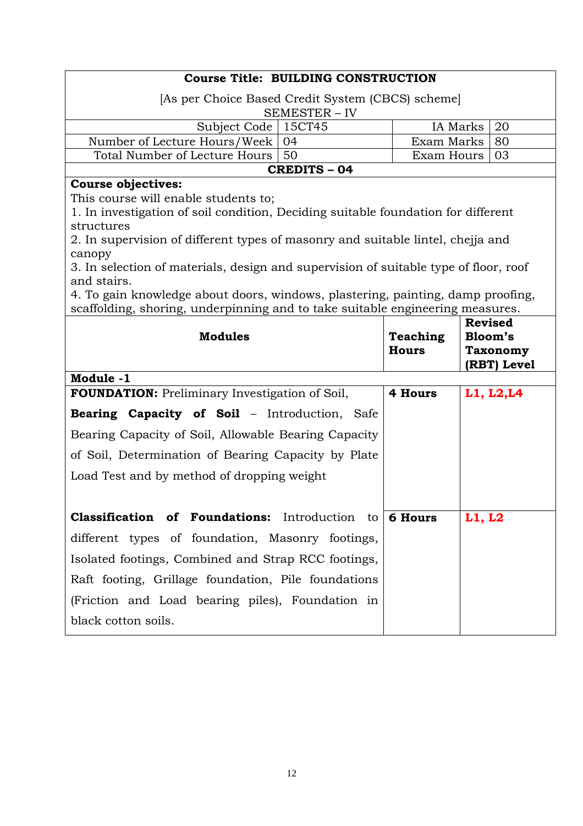| <b>Course Title: BUILDING CONSTRUCTION</b>                                                     |  |  |  |  |
|------------------------------------------------------------------------------------------------|--|--|--|--|
| [As per Choice Based Credit System (CBCS) scheme]                                              |  |  |  |  |
| SEMESTER - IV                                                                                  |  |  |  |  |
| 15CT45<br>IA Marks<br>Subject Code<br>20                                                       |  |  |  |  |
| Number of Lecture Hours/Week<br>04<br>Exam Marks<br>80                                         |  |  |  |  |
| Total Number of Lecture Hours<br>50<br>Exam Hours<br>03                                        |  |  |  |  |
| <b>CREDITS - 04</b>                                                                            |  |  |  |  |
| <b>Course objectives:</b>                                                                      |  |  |  |  |
| This course will enable students to;                                                           |  |  |  |  |
| 1. In investigation of soil condition, Deciding suitable foundation for different              |  |  |  |  |
| structures                                                                                     |  |  |  |  |
| 2. In supervision of different types of masonry and suitable lintel, chejja and                |  |  |  |  |
| canopy<br>3. In selection of materials, design and supervision of suitable type of floor, roof |  |  |  |  |
| and stairs.                                                                                    |  |  |  |  |
| 4. To gain knowledge about doors, windows, plastering, painting, damp proofing,                |  |  |  |  |
| scaffolding, shoring, underpinning and to take suitable engineering measures.                  |  |  |  |  |
| <b>Revised</b>                                                                                 |  |  |  |  |
| <b>Modules</b><br>Bloom's<br>Teaching                                                          |  |  |  |  |
| <b>Hours</b><br><b>Taxonomy</b>                                                                |  |  |  |  |
| (RBT) Level                                                                                    |  |  |  |  |
| Module -1                                                                                      |  |  |  |  |
| <b>FOUNDATION:</b> Preliminary Investigation of Soil,<br>4 Hours<br>L1, L2, L4                 |  |  |  |  |
| <b>Bearing Capacity of Soil - Introduction, Safe</b>                                           |  |  |  |  |
| Bearing Capacity of Soil, Allowable Bearing Capacity                                           |  |  |  |  |
| of Soil, Determination of Bearing Capacity by Plate                                            |  |  |  |  |
| Load Test and by method of dropping weight                                                     |  |  |  |  |
|                                                                                                |  |  |  |  |
| <b>Classification of Foundations:</b> Introduction to $\vert$ 6 Hours<br>L1, L2                |  |  |  |  |
|                                                                                                |  |  |  |  |
| different types of foundation, Masonry footings,                                               |  |  |  |  |
| Isolated footings, Combined and Strap RCC footings,                                            |  |  |  |  |

(Friction and Load bearing piles), Foundation in

black cotton soils.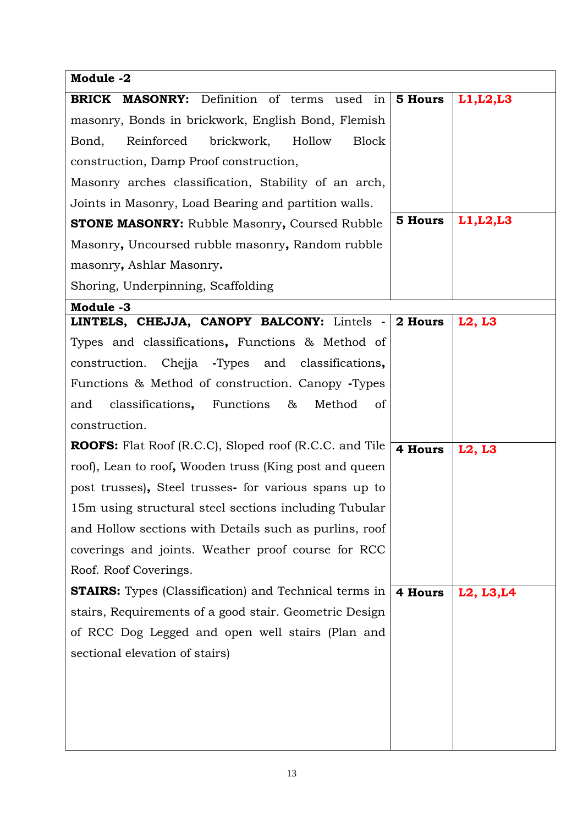| Module -2                                                     |         |            |
|---------------------------------------------------------------|---------|------------|
| <b>BRICK MASONRY:</b> Definition of terms used in             | 5 Hours | L1, L2, L3 |
| masonry, Bonds in brickwork, English Bond, Flemish            |         |            |
| Reinforced<br>brickwork,<br>Hollow<br><b>Block</b><br>Bond,   |         |            |
| construction, Damp Proof construction,                        |         |            |
| Masonry arches classification, Stability of an arch,          |         |            |
| Joints in Masonry, Load Bearing and partition walls.          |         |            |
| <b>STONE MASONRY:</b> Rubble Masonry, Coursed Rubble          | 5 Hours | L1, L2, L3 |
| Masonry, Uncoursed rubble masonry, Random rubble              |         |            |
| masonry, Ashlar Masonry.                                      |         |            |
| Shoring, Underpinning, Scaffolding                            |         |            |
| Module -3                                                     |         |            |
| LINTELS, CHEJJA, CANOPY BALCONY: Lintels -                    | 2 Hours | L2, L3     |
| Types and classifications, Functions & Method of              |         |            |
| Chejja -Types and classifications,<br>construction.           |         |            |
| Functions & Method of construction. Canopy -Types             |         |            |
| classifications, Functions<br>&<br>Method<br>and<br>οf        |         |            |
| construction.                                                 |         |            |
| <b>ROOFS:</b> Flat Roof (R.C.C), Sloped roof (R.C.C. and Tile | 4 Hours | L2, L3     |
| roof), Lean to roof, Wooden truss (King post and queen        |         |            |
| post trusses), Steel trusses for various spans up to          |         |            |
| 15m using structural steel sections including Tubular         |         |            |
| and Hollow sections with Details such as purlins, roof        |         |            |
| coverings and joints. Weather proof course for RCC            |         |            |
| Roof. Roof Coverings.                                         |         |            |
| <b>STAIRS:</b> Types (Classification) and Technical terms in  | 4 Hours | L2, L3, L4 |
| stairs, Requirements of a good stair. Geometric Design        |         |            |
| of RCC Dog Legged and open well stairs (Plan and              |         |            |
| sectional elevation of stairs)                                |         |            |
|                                                               |         |            |
|                                                               |         |            |
|                                                               |         |            |
|                                                               |         |            |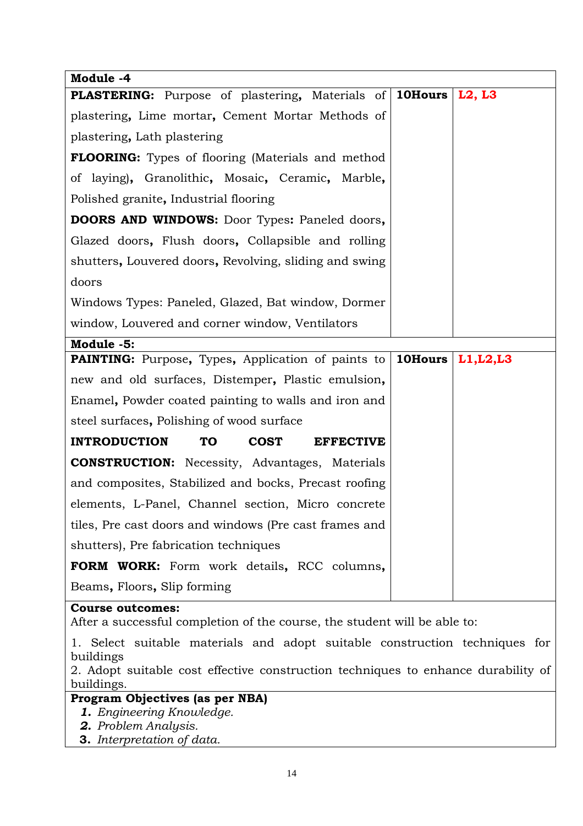| Module -4                                                                                       |                |            |
|-------------------------------------------------------------------------------------------------|----------------|------------|
| <b>PLASTERING:</b> Purpose of plastering, Materials of 10Hours                                  |                | L2, L3     |
| plastering, Lime mortar, Cement Mortar Methods of                                               |                |            |
| plastering, Lath plastering                                                                     |                |            |
| <b>FLOORING:</b> Types of flooring (Materials and method                                        |                |            |
| of laying), Granolithic, Mosaic, Ceramic, Marble,                                               |                |            |
| Polished granite, Industrial flooring                                                           |                |            |
| <b>DOORS AND WINDOWS:</b> Door Types: Paneled doors,                                            |                |            |
| Glazed doors, Flush doors, Collapsible and rolling                                              |                |            |
| shutters, Louvered doors, Revolving, sliding and swing                                          |                |            |
| doors                                                                                           |                |            |
| Windows Types: Paneled, Glazed, Bat window, Dormer                                              |                |            |
| window, Louvered and corner window, Ventilators                                                 |                |            |
| Module -5:                                                                                      |                |            |
| <b>PAINTING:</b> Purpose, Types, Application of paints to                                       | <b>10Hours</b> | L1, L2, L3 |
| new and old surfaces, Distemper, Plastic emulsion,                                              |                |            |
| Enamel, Powder coated painting to walls and iron and                                            |                |            |
| steel surfaces, Polishing of wood surface                                                       |                |            |
| <b>INTRODUCTION</b><br><b>TO</b><br><b>COST</b><br><b>EFFECTIVE</b>                             |                |            |
| <b>CONSTRUCTION:</b> Necessity, Advantages, Materials                                           |                |            |
| and composites, Stabilized and bocks, Precast roofing                                           |                |            |
| elements, L-Panel, Channel section, Micro concrete                                              |                |            |
| tiles, Pre cast doors and windows (Pre cast frames and                                          |                |            |
| shutters), Pre fabrication techniques                                                           |                |            |
| <b>FORM WORK:</b> Form work details, RCC columns,                                               |                |            |
| Beams, Floors, Slip forming                                                                     |                |            |
| <b>Course outcomes:</b>                                                                         |                |            |
| After a successful completion of the course, the student will be able to:                       |                |            |
| 1. Select suitable materials and adopt suitable construction techniques for<br>buildings        |                |            |
| 2. Adopt suitable cost effective construction techniques to enhance durability of<br>buildings. |                |            |
| Program Objectives (as per NBA)                                                                 |                |            |
| <b>1.</b> Engineering Knowledge.<br>2. Problem Analusis                                         |                |            |

- *2. Problem Analysis.*
- **3.** *Interpretation of data.*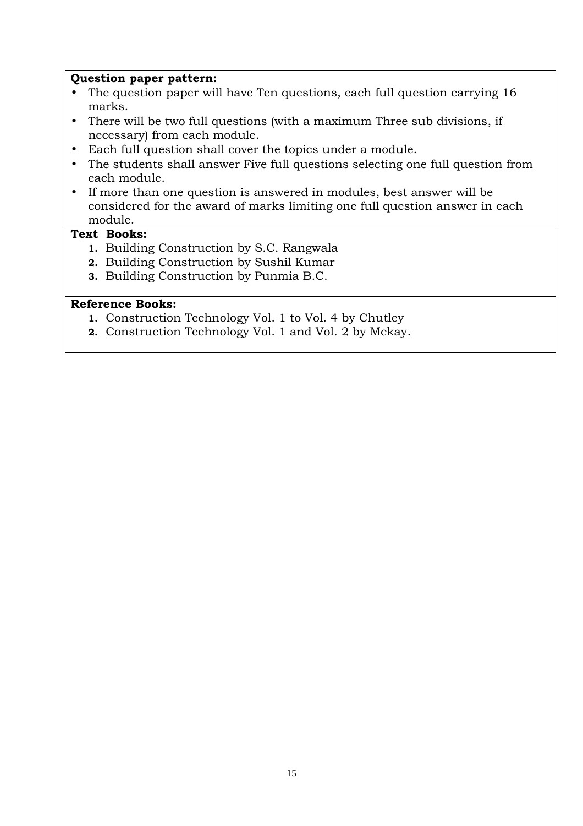#### **Question paper pattern:**

- The question paper will have Ten questions, each full question carrying 16 marks.
- There will be two full questions (with a maximum Three sub divisions, if necessary) from each module.
- Each full question shall cover the topics under a module.
- The students shall answer Five full questions selecting one full question from each module.
- If more than one question is answered in modules, best answer will be considered for the award of marks limiting one full question answer in each module.

#### **Text Books:**

- **1.** Building Construction by S.C. Rangwala
- **2.** Building Construction by Sushil Kumar
- **3.** Building Construction by Punmia B.C.

- **1.** Construction Technology Vol. 1 to Vol. 4 by Chutley
- **2.** Construction Technology Vol. 1 and Vol. 2 by Mckay.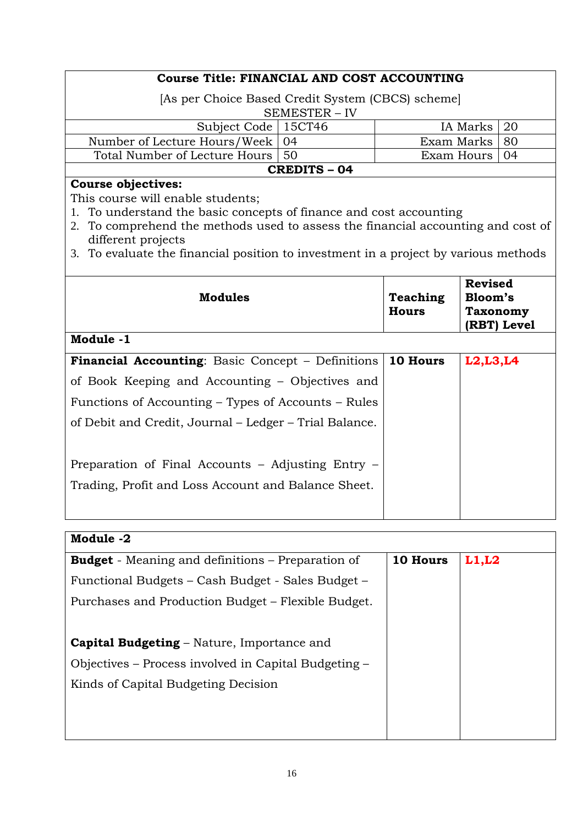| Course Title: FINANCIAL AND COST ACCOUNTING                                      |                     |            |     |
|----------------------------------------------------------------------------------|---------------------|------------|-----|
| [As per Choice Based Credit System (CBCS) scheme]                                |                     |            |     |
|                                                                                  | SEMESTER - IV       |            |     |
| Subject Code   15CT46                                                            |                     | IA Marks   | 20  |
| Number of Lecture Hours/Week                                                     | -04                 | Exam Marks | 80  |
| Total Number of Lecture Hours                                                    | 50                  | Exam Hours | -04 |
|                                                                                  | <b>CREDITS - 04</b> |            |     |
| <b>Course objectives:</b>                                                        |                     |            |     |
| This course will enable students;                                                |                     |            |     |
| 1. To understand the basic concepts of finance and cost accounting               |                     |            |     |
| 2. To comprehend the methods used to assess the financial accounting and cost of |                     |            |     |
| different projects                                                               |                     |            |     |

3. To evaluate the financial position to investment in a project by various methods

| <b>Modules</b>                                           | <b>Teaching</b><br><b>Hours</b> | <b>Revised</b><br><b>Bloom's</b><br><b>Taxonomy</b><br>(RBT) Level |
|----------------------------------------------------------|---------------------------------|--------------------------------------------------------------------|
| Module -1                                                |                                 |                                                                    |
| <b>Financial Accounting:</b> Basic Concept – Definitions | 10 Hours                        | L2, L3, L4                                                         |
| of Book Keeping and Accounting – Objectives and          |                                 |                                                                    |
| Functions of Accounting – Types of Accounts – Rules      |                                 |                                                                    |
| of Debit and Credit, Journal – Ledger – Trial Balance.   |                                 |                                                                    |
|                                                          |                                 |                                                                    |
| Preparation of Final Accounts – Adjusting Entry –        |                                 |                                                                    |
| Trading, Profit and Loss Account and Balance Sheet.      |                                 |                                                                    |
|                                                          |                                 |                                                                    |

| Module -2                                                |          |       |
|----------------------------------------------------------|----------|-------|
| <b>Budget</b> - Meaning and definitions – Preparation of | 10 Hours | L1,L2 |
| Functional Budgets - Cash Budget - Sales Budget -        |          |       |
| Purchases and Production Budget – Flexible Budget.       |          |       |
|                                                          |          |       |
| <b>Capital Budgeting – Nature, Importance and</b>        |          |       |
| Objectives – Process involved in Capital Budgeting –     |          |       |
| Kinds of Capital Budgeting Decision                      |          |       |
|                                                          |          |       |
|                                                          |          |       |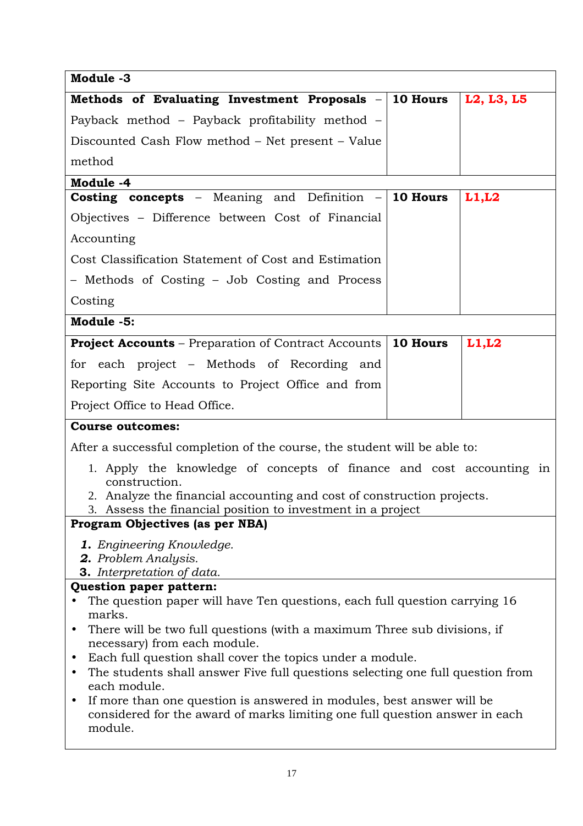| Module -3                                                                                                                                                                                                                      |  |            |  |
|--------------------------------------------------------------------------------------------------------------------------------------------------------------------------------------------------------------------------------|--|------------|--|
| Methods of Evaluating Investment Proposals $-$ 10 Hours                                                                                                                                                                        |  | L2, L3, L5 |  |
| Payback method – Payback profitability method –                                                                                                                                                                                |  |            |  |
| Discounted Cash Flow method – Net present – Value                                                                                                                                                                              |  |            |  |
| method                                                                                                                                                                                                                         |  |            |  |
| Module -4                                                                                                                                                                                                                      |  |            |  |
| <b>Costing concepts</b> - Meaning and Definition $-$ 10 Hours                                                                                                                                                                  |  | L1, L2     |  |
| Objectives - Difference between Cost of Financial                                                                                                                                                                              |  |            |  |
| Accounting                                                                                                                                                                                                                     |  |            |  |
| Cost Classification Statement of Cost and Estimation                                                                                                                                                                           |  |            |  |
| - Methods of Costing - Job Costing and Process                                                                                                                                                                                 |  |            |  |
| Costing                                                                                                                                                                                                                        |  |            |  |
| Module -5:                                                                                                                                                                                                                     |  |            |  |
| <b>Project Accounts</b> – Preparation of Contract Accounts   10 Hours                                                                                                                                                          |  | L1, L2     |  |
| for each project – Methods of Recording and                                                                                                                                                                                    |  |            |  |
| Reporting Site Accounts to Project Office and from                                                                                                                                                                             |  |            |  |
| Project Office to Head Office.                                                                                                                                                                                                 |  |            |  |
| <b>Course outcomes:</b>                                                                                                                                                                                                        |  |            |  |
| After a successful completion of the course, the student will be able to:                                                                                                                                                      |  |            |  |
| 1. Apply the knowledge of concepts of finance and cost accounting in<br>construction.<br>2. Analyze the financial accounting and cost of construction projects.<br>3. Assess the financial position to investment in a project |  |            |  |
| Program Objectives (as per NBA)                                                                                                                                                                                                |  |            |  |
| 1. Engineering Knowledge.<br>2. Problem Analysis.<br><b>3.</b> Interpretation of data.                                                                                                                                         |  |            |  |
| Question paper pattern:                                                                                                                                                                                                        |  |            |  |
| The question paper will have Ten questions, each full question carrying 16                                                                                                                                                     |  |            |  |
| marks.<br>There will be two full questions (with a maximum Three sub divisions, if<br>$\bullet$                                                                                                                                |  |            |  |
| necessary) from each module.                                                                                                                                                                                                   |  |            |  |
| Each full question shall cover the topics under a module.<br>$\bullet$                                                                                                                                                         |  |            |  |
| The students shall answer Five full questions selecting one full question from<br>$\bullet$<br>each module.                                                                                                                    |  |            |  |
| If more than one question is answered in modules, best answer will be<br>$\bullet$<br>considered for the award of marks limiting one full question answer in each<br>module.                                                   |  |            |  |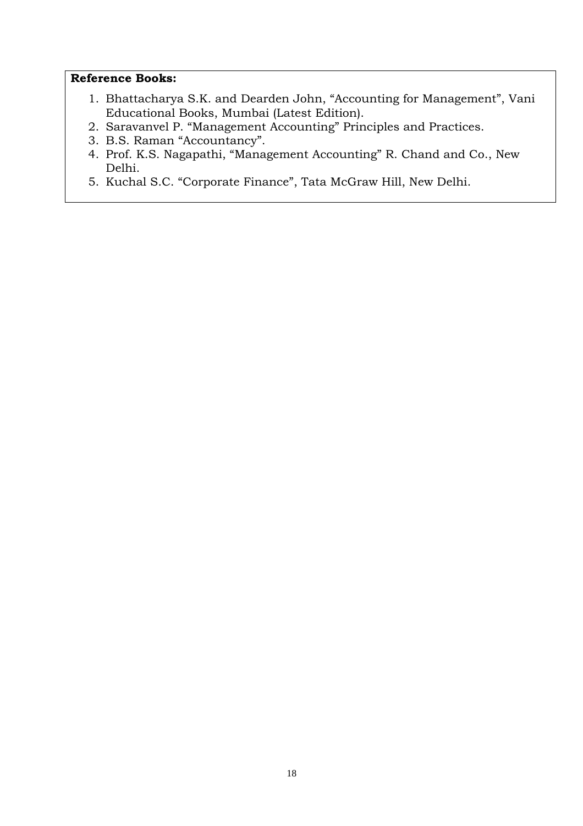- 1. Bhattacharya S.K. and Dearden John, "Accounting for Management", Vani Educational Books, Mumbai (Latest Edition).
- 2. Saravanvel P. "Management Accounting" Principles and Practices.
- 3. B.S. Raman "Accountancy".
- 4. Prof. K.S. Nagapathi, "Management Accounting" R. Chand and Co., New Delhi.
- 5. Kuchal S.C. "Corporate Finance", Tata McGraw Hill, New Delhi.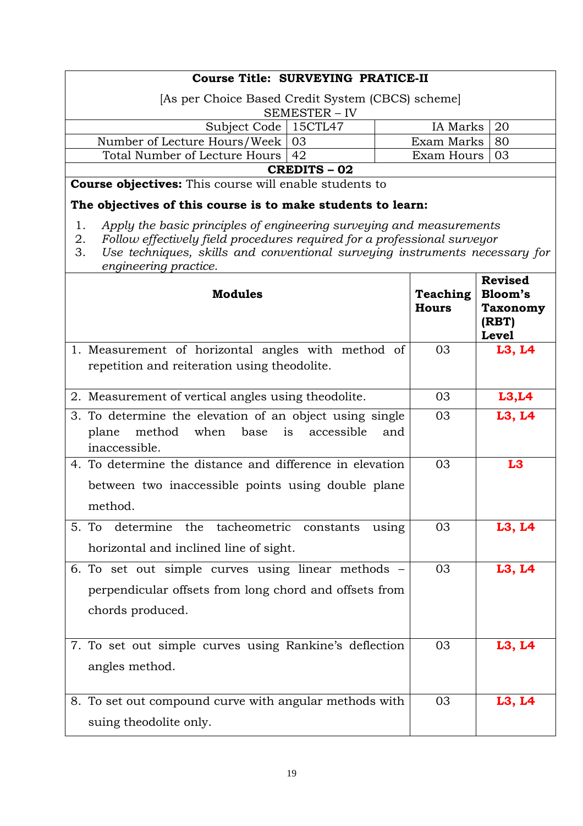| <b>Course Title: SURVEYING PRATICE-II</b>                                                                                                                                                                                                                                  |                                 |                                                                       |
|----------------------------------------------------------------------------------------------------------------------------------------------------------------------------------------------------------------------------------------------------------------------------|---------------------------------|-----------------------------------------------------------------------|
| [As per Choice Based Credit System (CBCS) scheme]                                                                                                                                                                                                                          |                                 |                                                                       |
| SEMESTER - IV                                                                                                                                                                                                                                                              |                                 |                                                                       |
| Subject Code   15CTL47                                                                                                                                                                                                                                                     | IA Marks                        | 20                                                                    |
| Number of Lecture Hours/Week<br>03                                                                                                                                                                                                                                         | Exam Marks                      | 80                                                                    |
| Total Number of Lecture Hours<br>42                                                                                                                                                                                                                                        | Exam Hours                      | 03                                                                    |
| <b>CREDITS - 02</b><br><b>Course objectives:</b> This course will enable students to                                                                                                                                                                                       |                                 |                                                                       |
| The objectives of this course is to make students to learn:                                                                                                                                                                                                                |                                 |                                                                       |
| 1.<br>Apply the basic principles of engineering surveying and measurements<br>Follow effectively field procedures required for a professional surveyor<br>2.<br>Use techniques, skills and conventional surveying instruments necessary for<br>3.<br>engineering practice. |                                 |                                                                       |
| <b>Modules</b>                                                                                                                                                                                                                                                             | <b>Teaching</b><br><b>Hours</b> | <b>Revised</b><br>Bloom's<br><b>Taxonomy</b><br>(RBT)<br><b>Level</b> |
| 1. Measurement of horizontal angles with method of<br>repetition and reiteration using theodolite.                                                                                                                                                                         | 03                              | L3, L4                                                                |
| 2. Measurement of vertical angles using theodolite.                                                                                                                                                                                                                        | 03                              | L3,L4                                                                 |
| 3. To determine the elevation of an object using single<br>method<br>when<br>accessible<br>plane<br>base<br>is<br>and<br>inaccessible.                                                                                                                                     | 03                              | L3, L4                                                                |
| 4. To determine the distance and difference in elevation                                                                                                                                                                                                                   | 03                              | L <sub>3</sub>                                                        |
| between two inaccessible points using double plane<br>method.                                                                                                                                                                                                              |                                 |                                                                       |
| 5. To<br>determine<br>tacheometric<br>the<br>constants<br>using<br>horizontal and inclined line of sight.                                                                                                                                                                  | 03                              | L3, L4                                                                |
| 6. To set out simple curves using linear methods –<br>perpendicular offsets from long chord and offsets from<br>chords produced.                                                                                                                                           | 03                              | L3, L4                                                                |
| 7. To set out simple curves using Rankine's deflection<br>angles method.                                                                                                                                                                                                   | 03                              | L3, L4                                                                |
| 8. To set out compound curve with angular methods with<br>suing theodolite only.                                                                                                                                                                                           | 03                              | L3, L4                                                                |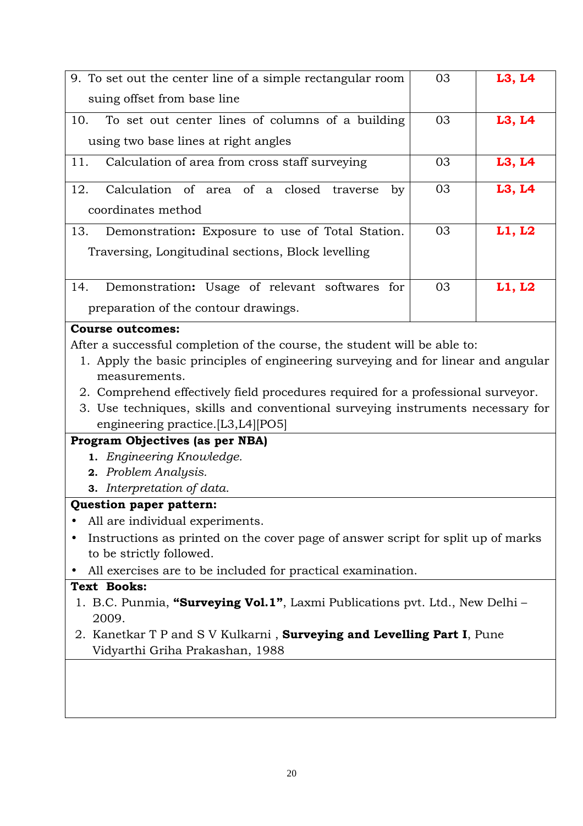| 9. To set out the center line of a simple rectangular room                            | 03 | L3, L4 |
|---------------------------------------------------------------------------------------|----|--------|
| suing offset from base line                                                           |    |        |
| To set out center lines of columns of a building<br>10.                               | 03 | L3, L4 |
| using two base lines at right angles                                                  |    |        |
|                                                                                       |    |        |
| Calculation of area from cross staff surveying<br>11.                                 | 03 | L3, L4 |
| Calculation of area of a closed<br>12.<br>traverse<br>by                              | 03 | L3, L4 |
| coordinates method                                                                    |    |        |
| 13.<br>Demonstration: Exposure to use of Total Station.                               | 03 | L1, L2 |
| Traversing, Longitudinal sections, Block levelling                                    |    |        |
|                                                                                       |    |        |
| Demonstration: Usage of relevant softwares for<br>14.                                 | 03 | L1, L2 |
| preparation of the contour drawings.                                                  |    |        |
| <b>Course outcomes:</b>                                                               |    |        |
| After a successful completion of the course, the student will be able to:             |    |        |
| 1. Apply the basic principles of engineering surveying and for linear and angular     |    |        |
|                                                                                       |    |        |
|                                                                                       |    |        |
| measurements.                                                                         |    |        |
| 2. Comprehend effectively field procedures required for a professional surveyor.      |    |        |
| 3. Use techniques, skills and conventional surveying instruments necessary for        |    |        |
| engineering practice. [L3, L4] [PO5]                                                  |    |        |
| Program Objectives (as per NBA)                                                       |    |        |
| 1. Engineering Knowledge.                                                             |    |        |
| 2. Problem Analysis.                                                                  |    |        |
| <b>3.</b> Interpretation of data.                                                     |    |        |
|                                                                                       |    |        |
| Question paper pattern:                                                               |    |        |
| All are individual experiments.                                                       |    |        |
| Instructions as printed on the cover page of answer script for split up of marks      |    |        |
| to be strictly followed.                                                              |    |        |
| All exercises are to be included for practical examination.                           |    |        |
| <b>Text Books:</b>                                                                    |    |        |
| 1. B.C. Punmia, "Surveying Vol.1", Laxmi Publications pvt. Ltd., New Delhi -<br>2009. |    |        |
| 2. Kanetkar T P and S V Kulkarni, Surveying and Levelling Part I, Pune                |    |        |
| Vidyarthi Griha Prakashan, 1988                                                       |    |        |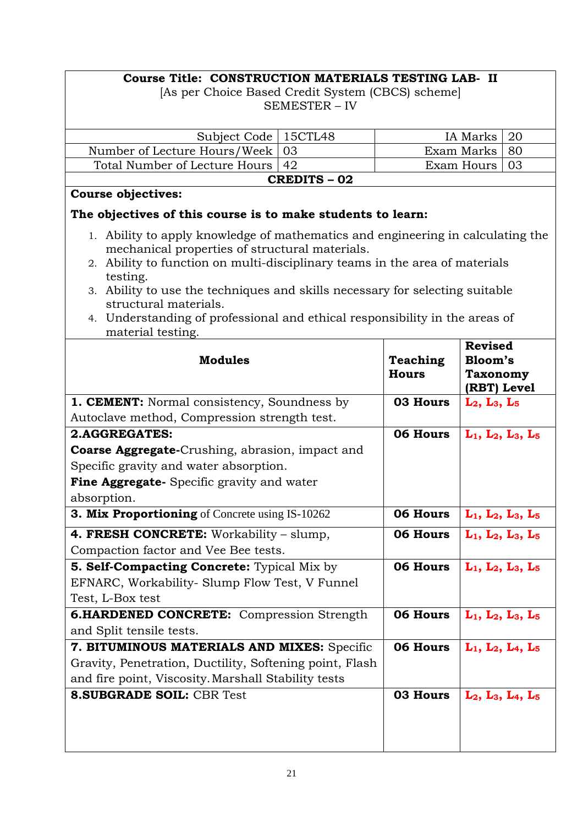# **Course Title: CONSTRUCTION MATERIALS TESTING LAB- II**

[As per Choice Based Credit System (CBCS) scheme] SEMESTER – IV

| Subject Code                                                                                                                                                                                                                                                                                                 | 15CTL48             |                 | IA Marks                       | 20                            |
|--------------------------------------------------------------------------------------------------------------------------------------------------------------------------------------------------------------------------------------------------------------------------------------------------------------|---------------------|-----------------|--------------------------------|-------------------------------|
| Number of Lecture Hours/Week                                                                                                                                                                                                                                                                                 | 03                  |                 | Exam Marks                     | 80                            |
| Total Number of Lecture Hours                                                                                                                                                                                                                                                                                | 42                  |                 | Exam Hours                     | 03                            |
|                                                                                                                                                                                                                                                                                                              | <b>CREDITS - 02</b> |                 |                                |                               |
| <b>Course objectives:</b>                                                                                                                                                                                                                                                                                    |                     |                 |                                |                               |
| The objectives of this course is to make students to learn:                                                                                                                                                                                                                                                  |                     |                 |                                |                               |
| 1. Ability to apply knowledge of mathematics and engineering in calculating the<br>mechanical properties of structural materials.<br>2. Ability to function on multi-disciplinary teams in the area of materials<br>testing.<br>3. Ability to use the techniques and skills necessary for selecting suitable |                     |                 |                                |                               |
| structural materials.<br>4. Understanding of professional and ethical responsibility in the areas of                                                                                                                                                                                                         |                     |                 |                                |                               |
| material testing.                                                                                                                                                                                                                                                                                            |                     |                 |                                |                               |
|                                                                                                                                                                                                                                                                                                              |                     |                 | <b>Revised</b>                 |                               |
| <b>Modules</b>                                                                                                                                                                                                                                                                                               |                     | <b>Teaching</b> | Bloom's                        |                               |
|                                                                                                                                                                                                                                                                                                              |                     | <b>Hours</b>    | <b>Taxonomy</b><br>(RBT) Level |                               |
| <b>1. CEMENT:</b> Normal consistency, Soundness by                                                                                                                                                                                                                                                           |                     | 03 Hours        | $L_2, L_3, L_5$                |                               |
| Autoclave method, Compression strength test.                                                                                                                                                                                                                                                                 |                     |                 |                                |                               |
| 2.AGGREGATES:                                                                                                                                                                                                                                                                                                |                     | 06 Hours        | $L_1$ , $L_2$ , $L_3$ , $L_5$  |                               |
| <b>Coarse Aggregate-</b> Crushing, abrasion, impact and                                                                                                                                                                                                                                                      |                     |                 |                                |                               |
| Specific gravity and water absorption.                                                                                                                                                                                                                                                                       |                     |                 |                                |                               |
| <b>Fine Aggregate-</b> Specific gravity and water                                                                                                                                                                                                                                                            |                     |                 |                                |                               |
| absorption.                                                                                                                                                                                                                                                                                                  |                     |                 |                                |                               |
| <b>3. Mix Proportioning</b> of Concrete using IS-10262                                                                                                                                                                                                                                                       |                     | 06 Hours        | $L_1$ , $L_2$ , $L_3$ , $L_5$  |                               |
| 4. FRESH CONCRETE: Workability - slump,                                                                                                                                                                                                                                                                      |                     | 06 Hours        | $L_1$ , $L_2$ , $L_3$ , $L_5$  |                               |
| Compaction factor and Vee Bee tests.                                                                                                                                                                                                                                                                         |                     |                 |                                |                               |
| <b>5. Self-Compacting Concrete:</b> Typical Mix by                                                                                                                                                                                                                                                           |                     | 06 Hours        | $L_1$ , $L_2$ , $L_3$ , $L_5$  |                               |
| EFNARC, Workability- Slump Flow Test, V Funnel                                                                                                                                                                                                                                                               |                     |                 |                                |                               |
| Test, L-Box test                                                                                                                                                                                                                                                                                             |                     |                 |                                |                               |
| <b>6.HARDENED CONCRETE:</b> Compression Strength                                                                                                                                                                                                                                                             |                     | 06 Hours        | $L_1$ , $L_2$ , $L_3$ , $L_5$  |                               |
| and Split tensile tests.                                                                                                                                                                                                                                                                                     |                     |                 |                                |                               |
| 7. BITUMINOUS MATERIALS AND MIXES: Specific                                                                                                                                                                                                                                                                  |                     | 06 Hours        | $L_1$ , $L_2$ , $L_4$ , $L_5$  |                               |
| Gravity, Penetration, Ductility, Softening point, Flash                                                                                                                                                                                                                                                      |                     |                 |                                |                               |
| and fire point, Viscosity. Marshall Stability tests                                                                                                                                                                                                                                                          |                     |                 |                                |                               |
| <b>8. SUBGRADE SOIL: CBR Test</b>                                                                                                                                                                                                                                                                            |                     | 03 Hours        |                                | $L_2$ , $L_3$ , $L_4$ , $L_5$ |
|                                                                                                                                                                                                                                                                                                              |                     |                 |                                |                               |
|                                                                                                                                                                                                                                                                                                              |                     |                 |                                |                               |
|                                                                                                                                                                                                                                                                                                              |                     |                 |                                |                               |